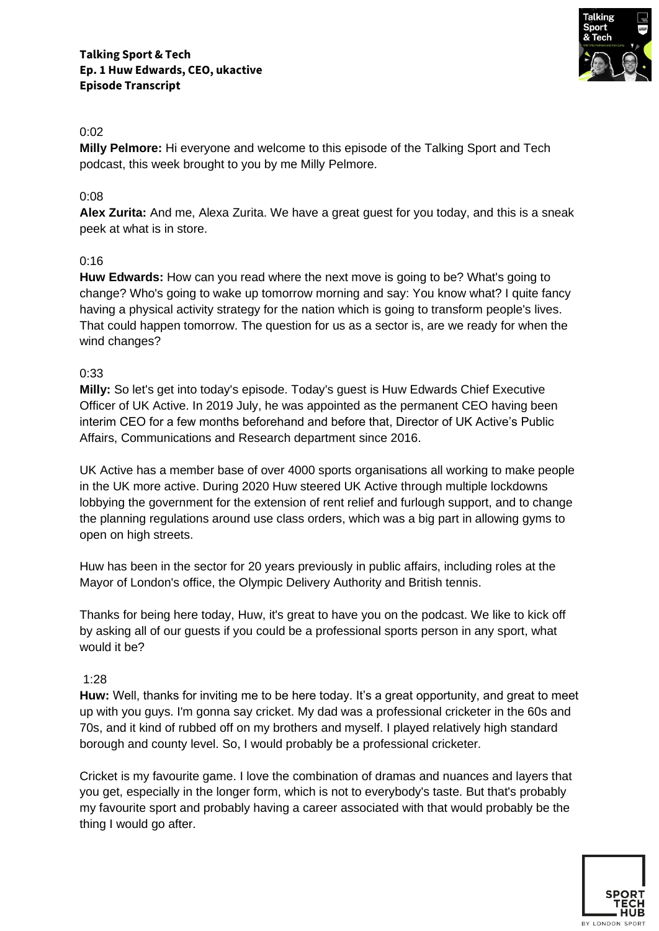

**Milly Pelmore:** Hi everyone and welcome to this episode of the Talking Sport and Tech podcast, this week brought to you by me Milly Pelmore.

## 0:08

**Alex Zurita:** And me, Alexa Zurita. We have a great guest for you today, and this is a sneak peek at what is in store.

#### 0:16

**Huw Edwards:** How can you read where the next move is going to be? What's going to change? Who's going to wake up tomorrow morning and say: You know what? I quite fancy having a physical activity strategy for the nation which is going to transform people's lives. That could happen tomorrow. The question for us as a sector is, are we ready for when the wind changes?

#### 0:33

**Milly:** So let's get into today's episode. Today's guest is Huw Edwards Chief Executive Officer of UK Active. In 2019 July, he was appointed as the permanent CEO having been interim CEO for a few months beforehand and before that, Director of UK Active's Public Affairs, Communications and Research department since 2016.

UK Active has a member base of over 4000 sports organisations all working to make people in the UK more active. During 2020 Huw steered UK Active through multiple lockdowns lobbying the government for the extension of rent relief and furlough support, and to change the planning regulations around use class orders, which was a big part in allowing gyms to open on high streets.

Huw has been in the sector for 20 years previously in public affairs, including roles at the Mayor of London's office, the Olympic Delivery Authority and British tennis.

Thanks for being here today, Huw, it's great to have you on the podcast. We like to kick off by asking all of our guests if you could be a professional sports person in any sport, what would it be?

#### 1:28

**Huw:** Well, thanks for inviting me to be here today. It's a great opportunity, and great to meet up with you guys. I'm gonna say cricket. My dad was a professional cricketer in the 60s and 70s, and it kind of rubbed off on my brothers and myself. I played relatively high standard borough and county level. So, I would probably be a professional cricketer.

Cricket is my favourite game. I love the combination of dramas and nuances and layers that you get, especially in the longer form, which is not to everybody's taste. But that's probably my favourite sport and probably having a career associated with that would probably be the thing I would go after.

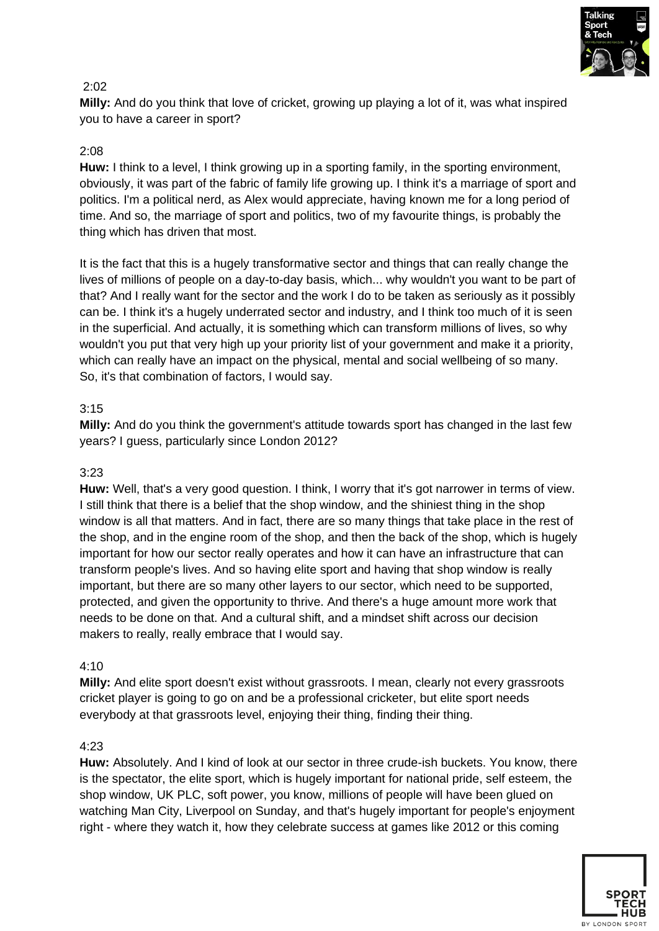

**Milly:** And do you think that love of cricket, growing up playing a lot of it, was what inspired you to have a career in sport?

# 2:08

**Huw:** I think to a level, I think growing up in a sporting family, in the sporting environment, obviously, it was part of the fabric of family life growing up. I think it's a marriage of sport and politics. I'm a political nerd, as Alex would appreciate, having known me for a long period of time. And so, the marriage of sport and politics, two of my favourite things, is probably the thing which has driven that most.

It is the fact that this is a hugely transformative sector and things that can really change the lives of millions of people on a day-to-day basis, which... why wouldn't you want to be part of that? And I really want for the sector and the work I do to be taken as seriously as it possibly can be. I think it's a hugely underrated sector and industry, and I think too much of it is seen in the superficial. And actually, it is something which can transform millions of lives, so why wouldn't you put that very high up your priority list of your government and make it a priority, which can really have an impact on the physical, mental and social wellbeing of so many. So, it's that combination of factors, I would say.

## 3:15

**Milly:** And do you think the government's attitude towards sport has changed in the last few years? I guess, particularly since London 2012?

## 3:23

**Huw:** Well, that's a very good question. I think, I worry that it's got narrower in terms of view. I still think that there is a belief that the shop window, and the shiniest thing in the shop window is all that matters. And in fact, there are so many things that take place in the rest of the shop, and in the engine room of the shop, and then the back of the shop, which is hugely important for how our sector really operates and how it can have an infrastructure that can transform people's lives. And so having elite sport and having that shop window is really important, but there are so many other layers to our sector, which need to be supported, protected, and given the opportunity to thrive. And there's a huge amount more work that needs to be done on that. And a cultural shift, and a mindset shift across our decision makers to really, really embrace that I would say.

## 4:10

**Milly:** And elite sport doesn't exist without grassroots. I mean, clearly not every grassroots cricket player is going to go on and be a professional cricketer, but elite sport needs everybody at that grassroots level, enjoying their thing, finding their thing.

## 4:23

**Huw:** Absolutely. And I kind of look at our sector in three crude-ish buckets. You know, there is the spectator, the elite sport, which is hugely important for national pride, self esteem, the shop window, UK PLC, soft power, you know, millions of people will have been glued on watching Man City, Liverpool on Sunday, and that's hugely important for people's enjoyment right - where they watch it, how they celebrate success at games like 2012 or this coming

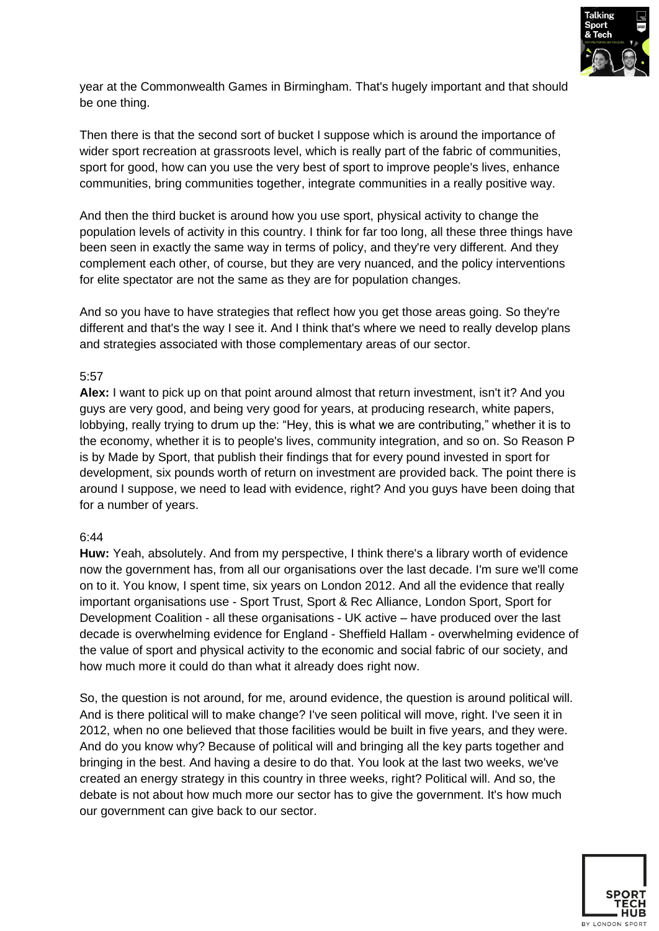

year at the Commonwealth Games in Birmingham. That's hugely important and that should be one thing.

Then there is that the second sort of bucket I suppose which is around the importance of wider sport recreation at grassroots level, which is really part of the fabric of communities, sport for good, how can you use the very best of sport to improve people's lives, enhance communities, bring communities together, integrate communities in a really positive way.

And then the third bucket is around how you use sport, physical activity to change the population levels of activity in this country. I think for far too long, all these three things have been seen in exactly the same way in terms of policy, and they're very different. And they complement each other, of course, but they are very nuanced, and the policy interventions for elite spectator are not the same as they are for population changes.

And so you have to have strategies that reflect how you get those areas going. So they're different and that's the way I see it. And I think that's where we need to really develop plans and strategies associated with those complementary areas of our sector.

#### 5:57

**Alex:** I want to pick up on that point around almost that return investment, isn't it? And you guys are very good, and being very good for years, at producing research, white papers, lobbying, really trying to drum up the: "Hey, this is what we are contributing," whether it is to the economy, whether it is to people's lives, community integration, and so on. So Reason P is by Made by Sport, that publish their findings that for every pound invested in sport for development, six pounds worth of return on investment are provided back. The point there is around I suppose, we need to lead with evidence, right? And you guys have been doing that for a number of years.

#### 6:44

**Huw:** Yeah, absolutely. And from my perspective, I think there's a library worth of evidence now the government has, from all our organisations over the last decade. I'm sure we'll come on to it. You know, I spent time, six years on London 2012. And all the evidence that really important organisations use - Sport Trust, Sport & Rec Alliance, London Sport, Sport for Development Coalition - all these organisations - UK active – have produced over the last decade is overwhelming evidence for England - Sheffield Hallam - overwhelming evidence of the value of sport and physical activity to the economic and social fabric of our society, and how much more it could do than what it already does right now.

So, the question is not around, for me, around evidence, the question is around political will. And is there political will to make change? I've seen political will move, right. I've seen it in 2012, when no one believed that those facilities would be built in five years, and they were. And do you know why? Because of political will and bringing all the key parts together and bringing in the best. And having a desire to do that. You look at the last two weeks, we've created an energy strategy in this country in three weeks, right? Political will. And so, the debate is not about how much more our sector has to give the government. It's how much our government can give back to our sector.

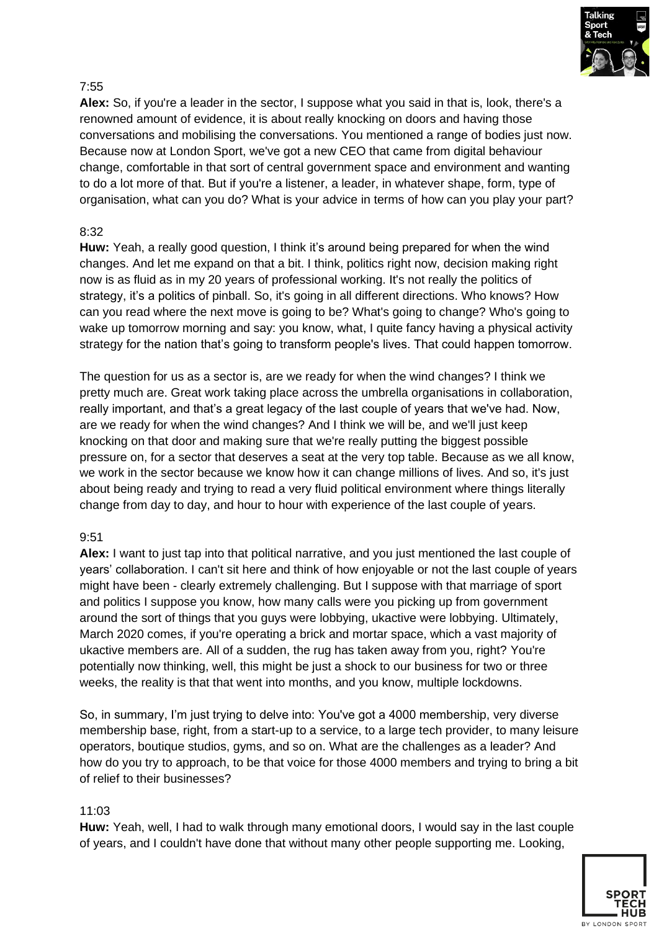

**Alex:** So, if you're a leader in the sector, I suppose what you said in that is, look, there's a renowned amount of evidence, it is about really knocking on doors and having those conversations and mobilising the conversations. You mentioned a range of bodies just now. Because now at London Sport, we've got a new CEO that came from digital behaviour change, comfortable in that sort of central government space and environment and wanting to do a lot more of that. But if you're a listener, a leader, in whatever shape, form, type of organisation, what can you do? What is your advice in terms of how can you play your part?

# 8:32

**Huw:** Yeah, a really good question, I think it's around being prepared for when the wind changes. And let me expand on that a bit. I think, politics right now, decision making right now is as fluid as in my 20 years of professional working. It's not really the politics of strategy, it's a politics of pinball. So, it's going in all different directions. Who knows? How can you read where the next move is going to be? What's going to change? Who's going to wake up tomorrow morning and say: you know, what, I quite fancy having a physical activity strategy for the nation that's going to transform people's lives. That could happen tomorrow.

The question for us as a sector is, are we ready for when the wind changes? I think we pretty much are. Great work taking place across the umbrella organisations in collaboration, really important, and that's a great legacy of the last couple of years that we've had. Now, are we ready for when the wind changes? And I think we will be, and we'll just keep knocking on that door and making sure that we're really putting the biggest possible pressure on, for a sector that deserves a seat at the very top table. Because as we all know, we work in the sector because we know how it can change millions of lives. And so, it's just about being ready and trying to read a very fluid political environment where things literally change from day to day, and hour to hour with experience of the last couple of years.

## 9:51

**Alex:** I want to just tap into that political narrative, and you just mentioned the last couple of years' collaboration. I can't sit here and think of how enjoyable or not the last couple of years might have been - clearly extremely challenging. But I suppose with that marriage of sport and politics I suppose you know, how many calls were you picking up from government around the sort of things that you guys were lobbying, ukactive were lobbying. Ultimately, March 2020 comes, if you're operating a brick and mortar space, which a vast majority of ukactive members are. All of a sudden, the rug has taken away from you, right? You're potentially now thinking, well, this might be just a shock to our business for two or three weeks, the reality is that that went into months, and you know, multiple lockdowns.

So, in summary, I'm just trying to delve into: You've got a 4000 membership, very diverse membership base, right, from a start-up to a service, to a large tech provider, to many leisure operators, boutique studios, gyms, and so on. What are the challenges as a leader? And how do you try to approach, to be that voice for those 4000 members and trying to bring a bit of relief to their businesses?

## $11:03$

**Huw:** Yeah, well, I had to walk through many emotional doors, I would say in the last couple of years, and I couldn't have done that without many other people supporting me. Looking,

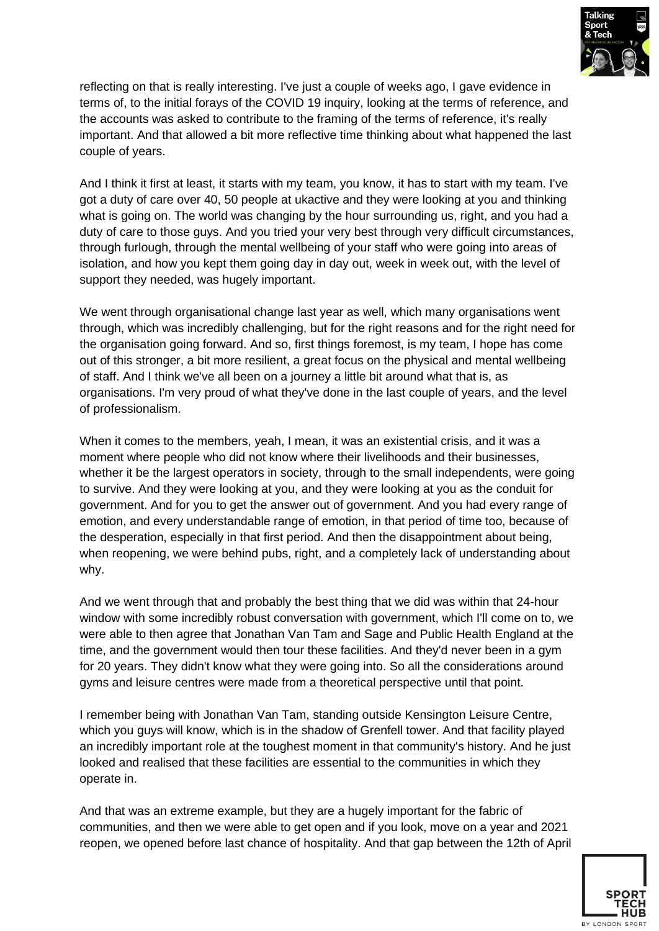

reflecting on that is really interesting. I've just a couple of weeks ago, I gave evidence in terms of, to the initial forays of the COVID 19 inquiry, looking at the terms of reference, and the accounts was asked to contribute to the framing of the terms of reference, it's really important. And that allowed a bit more reflective time thinking about what happened the last couple of years.

And I think it first at least, it starts with my team, you know, it has to start with my team. I've got a duty of care over 40, 50 people at ukactive and they were looking at you and thinking what is going on. The world was changing by the hour surrounding us, right, and you had a duty of care to those guys. And you tried your very best through very difficult circumstances, through furlough, through the mental wellbeing of your staff who were going into areas of isolation, and how you kept them going day in day out, week in week out, with the level of support they needed, was hugely important.

We went through organisational change last year as well, which many organisations went through, which was incredibly challenging, but for the right reasons and for the right need for the organisation going forward. And so, first things foremost, is my team, I hope has come out of this stronger, a bit more resilient, a great focus on the physical and mental wellbeing of staff. And I think we've all been on a journey a little bit around what that is, as organisations. I'm very proud of what they've done in the last couple of years, and the level of professionalism.

When it comes to the members, yeah, I mean, it was an existential crisis, and it was a moment where people who did not know where their livelihoods and their businesses, whether it be the largest operators in society, through to the small independents, were going to survive. And they were looking at you, and they were looking at you as the conduit for government. And for you to get the answer out of government. And you had every range of emotion, and every understandable range of emotion, in that period of time too, because of the desperation, especially in that first period. And then the disappointment about being, when reopening, we were behind pubs, right, and a completely lack of understanding about why.

And we went through that and probably the best thing that we did was within that 24-hour window with some incredibly robust conversation with government, which I'll come on to, we were able to then agree that Jonathan Van Tam and Sage and Public Health England at the time, and the government would then tour these facilities. And they'd never been in a gym for 20 years. They didn't know what they were going into. So all the considerations around gyms and leisure centres were made from a theoretical perspective until that point.

I remember being with Jonathan Van Tam, standing outside Kensington Leisure Centre, which you guys will know, which is in the shadow of Grenfell tower. And that facility played an incredibly important role at the toughest moment in that community's history. And he just looked and realised that these facilities are essential to the communities in which they operate in.

And that was an extreme example, but they are a hugely important for the fabric of communities, and then we were able to get open and if you look, move on a year and 2021 reopen, we opened before last chance of hospitality. And that gap between the 12th of April

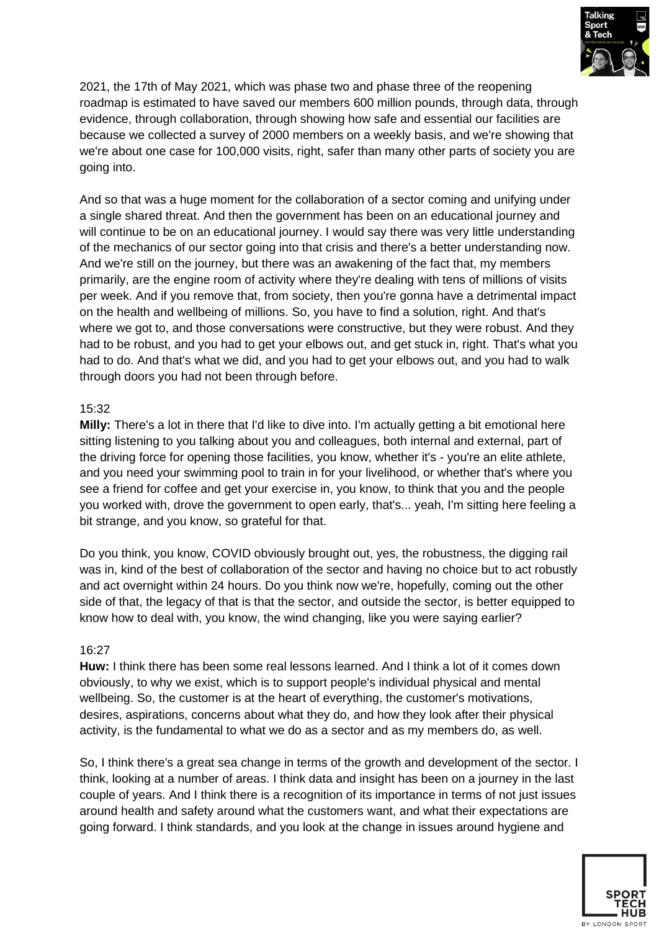

2021, the 17th of May 2021, which was phase two and phase three of the reopening roadmap is estimated to have saved our members 600 million pounds, through data, through evidence, through collaboration, through showing how safe and essential our facilities are because we collected a survey of 2000 members on a weekly basis, and we're showing that we're about one case for 100,000 visits, right, safer than many other parts of society you are going into.

And so that was a huge moment for the collaboration of a sector coming and unifying under a single shared threat. And then the government has been on an educational journey and will continue to be on an educational journey. I would say there was very little understanding of the mechanics of our sector going into that crisis and there's a better understanding now. And we're still on the journey, but there was an awakening of the fact that, my members primarily, are the engine room of activity where they're dealing with tens of millions of visits per week. And if you remove that, from society, then you're gonna have a detrimental impact on the health and wellbeing of millions. So, you have to find a solution, right. And that's where we got to, and those conversations were constructive, but they were robust. And they had to be robust, and you had to get your elbows out, and get stuck in, right. That's what you had to do. And that's what we did, and you had to get your elbows out, and you had to walk through doors you had not been through before.

## 15:32

**Milly:** There's a lot in there that I'd like to dive into. I'm actually getting a bit emotional here sitting listening to you talking about you and colleagues, both internal and external, part of the driving force for opening those facilities, you know, whether it's - you're an elite athlete, and you need your swimming pool to train in for your livelihood, or whether that's where you see a friend for coffee and get your exercise in, you know, to think that you and the people you worked with, drove the government to open early, that's... yeah, I'm sitting here feeling a bit strange, and you know, so grateful for that.

Do you think, you know, COVID obviously brought out, yes, the robustness, the digging rail was in, kind of the best of collaboration of the sector and having no choice but to act robustly and act overnight within 24 hours. Do you think now we're, hopefully, coming out the other side of that, the legacy of that is that the sector, and outside the sector, is better equipped to know how to deal with, you know, the wind changing, like you were saying earlier?

#### 16:27

**Huw:** I think there has been some real lessons learned. And I think a lot of it comes down obviously, to why we exist, which is to support people's individual physical and mental wellbeing. So, the customer is at the heart of everything, the customer's motivations, desires, aspirations, concerns about what they do, and how they look after their physical activity, is the fundamental to what we do as a sector and as my members do, as well.

So, I think there's a great sea change in terms of the growth and development of the sector. I think, looking at a number of areas. I think data and insight has been on a journey in the last couple of years. And I think there is a recognition of its importance in terms of not just issues around health and safety around what the customers want, and what their expectations are going forward. I think standards, and you look at the change in issues around hygiene and

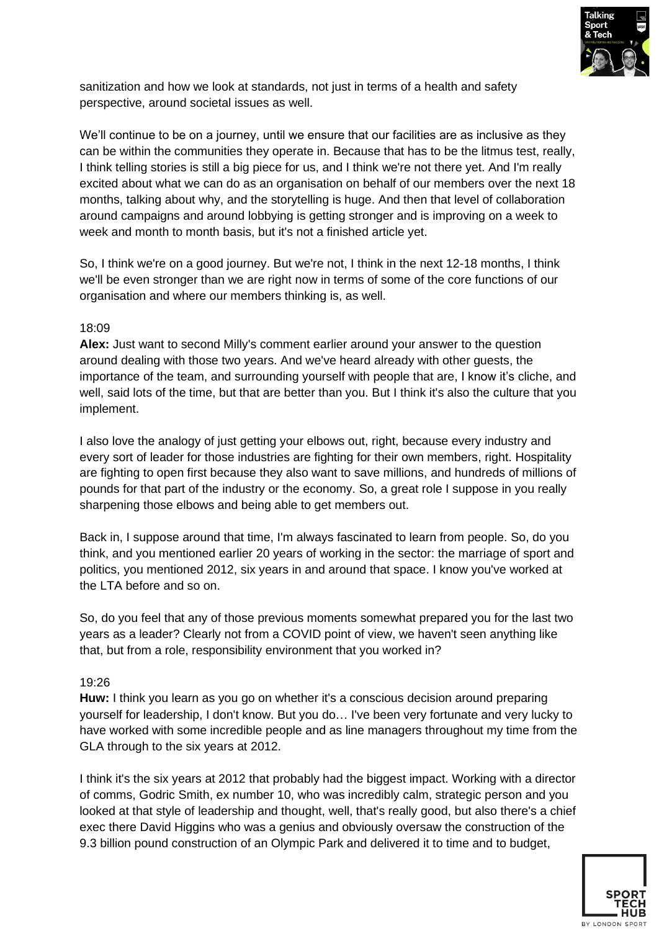

sanitization and how we look at standards, not just in terms of a health and safety perspective, around societal issues as well.

We'll continue to be on a journey, until we ensure that our facilities are as inclusive as they can be within the communities they operate in. Because that has to be the litmus test, really, I think telling stories is still a big piece for us, and I think we're not there yet. And I'm really excited about what we can do as an organisation on behalf of our members over the next 18 months, talking about why, and the storytelling is huge. And then that level of collaboration around campaigns and around lobbying is getting stronger and is improving on a week to week and month to month basis, but it's not a finished article yet.

So, I think we're on a good journey. But we're not, I think in the next 12-18 months, I think we'll be even stronger than we are right now in terms of some of the core functions of our organisation and where our members thinking is, as well.

## 18:09

**Alex:** Just want to second Milly's comment earlier around your answer to the question around dealing with those two years. And we've heard already with other guests, the importance of the team, and surrounding yourself with people that are, I know it's cliche, and well, said lots of the time, but that are better than you. But I think it's also the culture that you implement.

I also love the analogy of just getting your elbows out, right, because every industry and every sort of leader for those industries are fighting for their own members, right. Hospitality are fighting to open first because they also want to save millions, and hundreds of millions of pounds for that part of the industry or the economy. So, a great role I suppose in you really sharpening those elbows and being able to get members out.

Back in, I suppose around that time, I'm always fascinated to learn from people. So, do you think, and you mentioned earlier 20 years of working in the sector: the marriage of sport and politics, you mentioned 2012, six years in and around that space. I know you've worked at the LTA before and so on.

So, do you feel that any of those previous moments somewhat prepared you for the last two years as a leader? Clearly not from a COVID point of view, we haven't seen anything like that, but from a role, responsibility environment that you worked in?

## 19:26

**Huw:** I think you learn as you go on whether it's a conscious decision around preparing yourself for leadership, I don't know. But you do… I've been very fortunate and very lucky to have worked with some incredible people and as line managers throughout my time from the GLA through to the six years at 2012.

I think it's the six years at 2012 that probably had the biggest impact. Working with a director of comms, Godric Smith, ex number 10, who was incredibly calm, strategic person and you looked at that style of leadership and thought, well, that's really good, but also there's a chief exec there David Higgins who was a genius and obviously oversaw the construction of the 9.3 billion pound construction of an Olympic Park and delivered it to time and to budget,

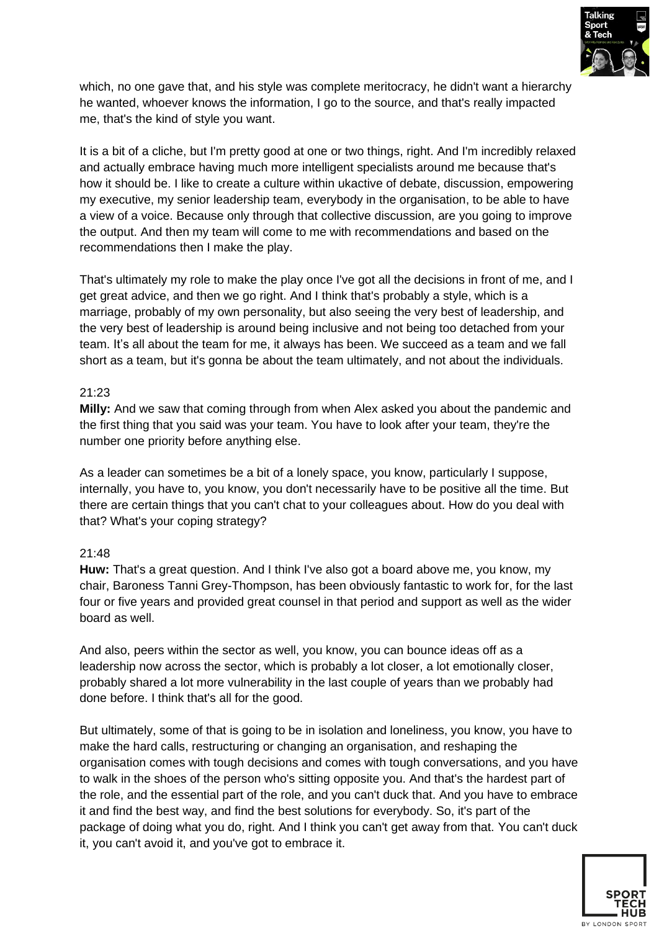

which, no one gave that, and his style was complete meritocracy, he didn't want a hierarchy he wanted, whoever knows the information, I go to the source, and that's really impacted me, that's the kind of style you want.

It is a bit of a cliche, but I'm pretty good at one or two things, right. And I'm incredibly relaxed and actually embrace having much more intelligent specialists around me because that's how it should be. I like to create a culture within ukactive of debate, discussion, empowering my executive, my senior leadership team, everybody in the organisation, to be able to have a view of a voice. Because only through that collective discussion, are you going to improve the output. And then my team will come to me with recommendations and based on the recommendations then I make the play.

That's ultimately my role to make the play once I've got all the decisions in front of me, and I get great advice, and then we go right. And I think that's probably a style, which is a marriage, probably of my own personality, but also seeing the very best of leadership, and the very best of leadership is around being inclusive and not being too detached from your team. It's all about the team for me, it always has been. We succeed as a team and we fall short as a team, but it's gonna be about the team ultimately, and not about the individuals.

#### 21:23

**Milly:** And we saw that coming through from when Alex asked you about the pandemic and the first thing that you said was your team. You have to look after your team, they're the number one priority before anything else.

As a leader can sometimes be a bit of a lonely space, you know, particularly I suppose, internally, you have to, you know, you don't necessarily have to be positive all the time. But there are certain things that you can't chat to your colleagues about. How do you deal with that? What's your coping strategy?

## 21:48

**Huw:** That's a great question. And I think I've also got a board above me, you know, my chair, Baroness Tanni Grey-Thompson, has been obviously fantastic to work for, for the last four or five years and provided great counsel in that period and support as well as the wider board as well.

And also, peers within the sector as well, you know, you can bounce ideas off as a leadership now across the sector, which is probably a lot closer, a lot emotionally closer, probably shared a lot more vulnerability in the last couple of years than we probably had done before. I think that's all for the good.

But ultimately, some of that is going to be in isolation and loneliness, you know, you have to make the hard calls, restructuring or changing an organisation, and reshaping the organisation comes with tough decisions and comes with tough conversations, and you have to walk in the shoes of the person who's sitting opposite you. And that's the hardest part of the role, and the essential part of the role, and you can't duck that. And you have to embrace it and find the best way, and find the best solutions for everybody. So, it's part of the package of doing what you do, right. And I think you can't get away from that. You can't duck it, you can't avoid it, and you've got to embrace it.

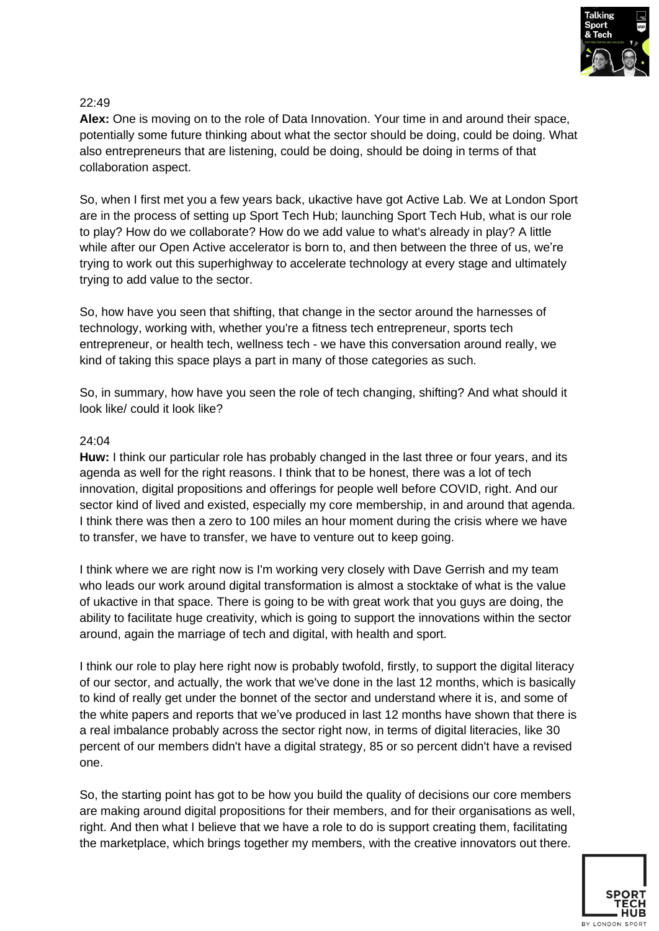

**Alex:** One is moving on to the role of Data Innovation. Your time in and around their space, potentially some future thinking about what the sector should be doing, could be doing. What also entrepreneurs that are listening, could be doing, should be doing in terms of that collaboration aspect.

So, when I first met you a few years back, ukactive have got Active Lab. We at London Sport are in the process of setting up Sport Tech Hub; launching Sport Tech Hub, what is our role to play? How do we collaborate? How do we add value to what's already in play? A little while after our Open Active accelerator is born to, and then between the three of us, we're trying to work out this superhighway to accelerate technology at every stage and ultimately trying to add value to the sector.

So, how have you seen that shifting, that change in the sector around the harnesses of technology, working with, whether you're a fitness tech entrepreneur, sports tech entrepreneur, or health tech, wellness tech - we have this conversation around really, we kind of taking this space plays a part in many of those categories as such.

So, in summary, how have you seen the role of tech changing, shifting? And what should it look like/ could it look like?

#### 24:04

**Huw:** I think our particular role has probably changed in the last three or four years, and its agenda as well for the right reasons. I think that to be honest, there was a lot of tech innovation, digital propositions and offerings for people well before COVID, right. And our sector kind of lived and existed, especially my core membership, in and around that agenda. I think there was then a zero to 100 miles an hour moment during the crisis where we have to transfer, we have to transfer, we have to venture out to keep going.

I think where we are right now is I'm working very closely with Dave Gerrish and my team who leads our work around digital transformation is almost a stocktake of what is the value of ukactive in that space. There is going to be with great work that you guys are doing, the ability to facilitate huge creativity, which is going to support the innovations within the sector around, again the marriage of tech and digital, with health and sport.

I think our role to play here right now is probably twofold, firstly, to support the digital literacy of our sector, and actually, the work that we've done in the last 12 months, which is basically to kind of really get under the bonnet of the sector and understand where it is, and some of the white papers and reports that we've produced in last 12 months have shown that there is a real imbalance probably across the sector right now, in terms of digital literacies, like 30 percent of our members didn't have a digital strategy, 85 or so percent didn't have a revised one.

So, the starting point has got to be how you build the quality of decisions our core members are making around digital propositions for their members, and for their organisations as well, right. And then what I believe that we have a role to do is support creating them, facilitating the marketplace, which brings together my members, with the creative innovators out there.

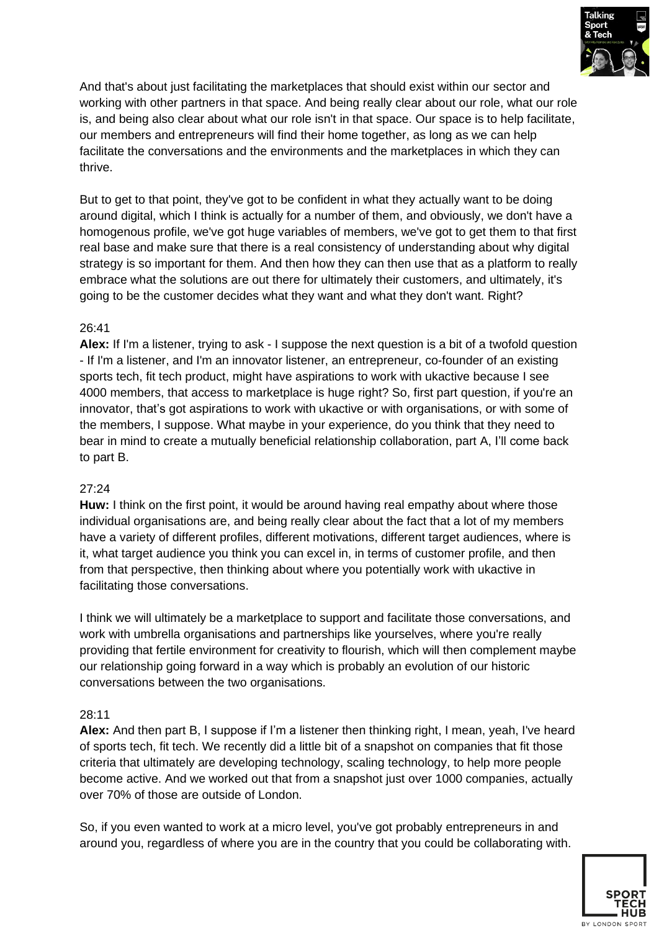

And that's about just facilitating the marketplaces that should exist within our sector and working with other partners in that space. And being really clear about our role, what our role is, and being also clear about what our role isn't in that space. Our space is to help facilitate, our members and entrepreneurs will find their home together, as long as we can help facilitate the conversations and the environments and the marketplaces in which they can thrive.

But to get to that point, they've got to be confident in what they actually want to be doing around digital, which I think is actually for a number of them, and obviously, we don't have a homogenous profile, we've got huge variables of members, we've got to get them to that first real base and make sure that there is a real consistency of understanding about why digital strategy is so important for them. And then how they can then use that as a platform to really embrace what the solutions are out there for ultimately their customers, and ultimately, it's going to be the customer decides what they want and what they don't want. Right?

## 26:41

**Alex:** If I'm a listener, trying to ask - I suppose the next question is a bit of a twofold question - If I'm a listener, and I'm an innovator listener, an entrepreneur, co-founder of an existing sports tech, fit tech product, might have aspirations to work with ukactive because I see 4000 members, that access to marketplace is huge right? So, first part question, if you're an innovator, that's got aspirations to work with ukactive or with organisations, or with some of the members, I suppose. What maybe in your experience, do you think that they need to bear in mind to create a mutually beneficial relationship collaboration, part A, I'll come back to part B.

## 27:24

**Huw:** I think on the first point, it would be around having real empathy about where those individual organisations are, and being really clear about the fact that a lot of my members have a variety of different profiles, different motivations, different target audiences, where is it, what target audience you think you can excel in, in terms of customer profile, and then from that perspective, then thinking about where you potentially work with ukactive in facilitating those conversations.

I think we will ultimately be a marketplace to support and facilitate those conversations, and work with umbrella organisations and partnerships like yourselves, where you're really providing that fertile environment for creativity to flourish, which will then complement maybe our relationship going forward in a way which is probably an evolution of our historic conversations between the two organisations.

#### 28:11

**Alex:** And then part B, I suppose if I'm a listener then thinking right, I mean, yeah, I've heard of sports tech, fit tech. We recently did a little bit of a snapshot on companies that fit those criteria that ultimately are developing technology, scaling technology, to help more people become active. And we worked out that from a snapshot just over 1000 companies, actually over 70% of those are outside of London.

So, if you even wanted to work at a micro level, you've got probably entrepreneurs in and around you, regardless of where you are in the country that you could be collaborating with.

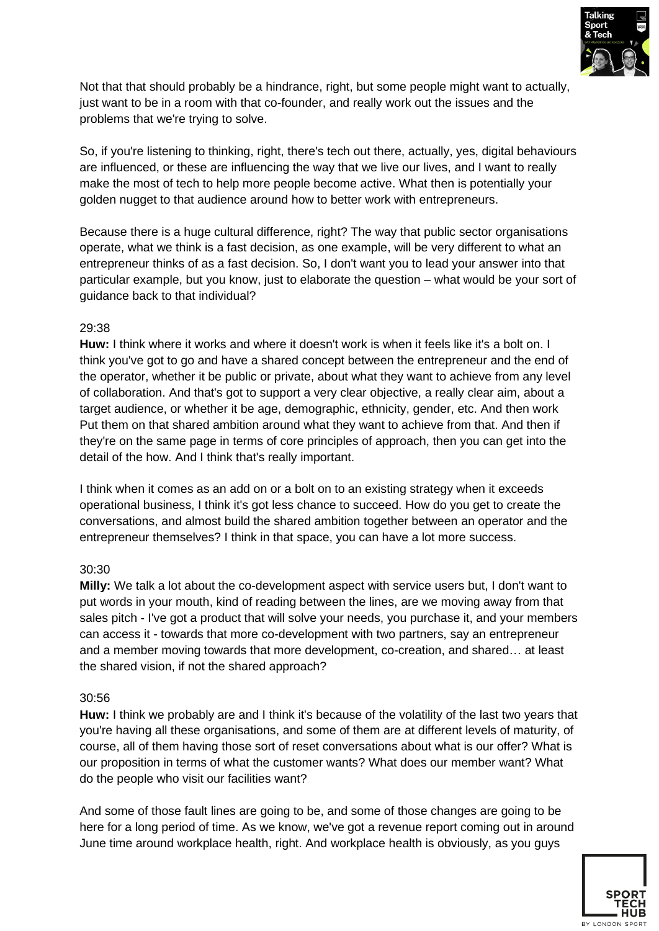

Not that that should probably be a hindrance, right, but some people might want to actually, just want to be in a room with that co-founder, and really work out the issues and the problems that we're trying to solve.

So, if you're listening to thinking, right, there's tech out there, actually, yes, digital behaviours are influenced, or these are influencing the way that we live our lives, and I want to really make the most of tech to help more people become active. What then is potentially your golden nugget to that audience around how to better work with entrepreneurs.

Because there is a huge cultural difference, right? The way that public sector organisations operate, what we think is a fast decision, as one example, will be very different to what an entrepreneur thinks of as a fast decision. So, I don't want you to lead your answer into that particular example, but you know, just to elaborate the question – what would be your sort of guidance back to that individual?

## 29:38

**Huw:** I think where it works and where it doesn't work is when it feels like it's a bolt on. I think you've got to go and have a shared concept between the entrepreneur and the end of the operator, whether it be public or private, about what they want to achieve from any level of collaboration. And that's got to support a very clear objective, a really clear aim, about a target audience, or whether it be age, demographic, ethnicity, gender, etc. And then work Put them on that shared ambition around what they want to achieve from that. And then if they're on the same page in terms of core principles of approach, then you can get into the detail of the how. And I think that's really important.

I think when it comes as an add on or a bolt on to an existing strategy when it exceeds operational business, I think it's got less chance to succeed. How do you get to create the conversations, and almost build the shared ambition together between an operator and the entrepreneur themselves? I think in that space, you can have a lot more success.

#### 30:30

**Milly:** We talk a lot about the co-development aspect with service users but, I don't want to put words in your mouth, kind of reading between the lines, are we moving away from that sales pitch - I've got a product that will solve your needs, you purchase it, and your members can access it - towards that more co-development with two partners, say an entrepreneur and a member moving towards that more development, co-creation, and shared… at least the shared vision, if not the shared approach?

#### 30:56

**Huw:** I think we probably are and I think it's because of the volatility of the last two years that you're having all these organisations, and some of them are at different levels of maturity, of course, all of them having those sort of reset conversations about what is our offer? What is our proposition in terms of what the customer wants? What does our member want? What do the people who visit our facilities want?

And some of those fault lines are going to be, and some of those changes are going to be here for a long period of time. As we know, we've got a revenue report coming out in around June time around workplace health, right. And workplace health is obviously, as you guys

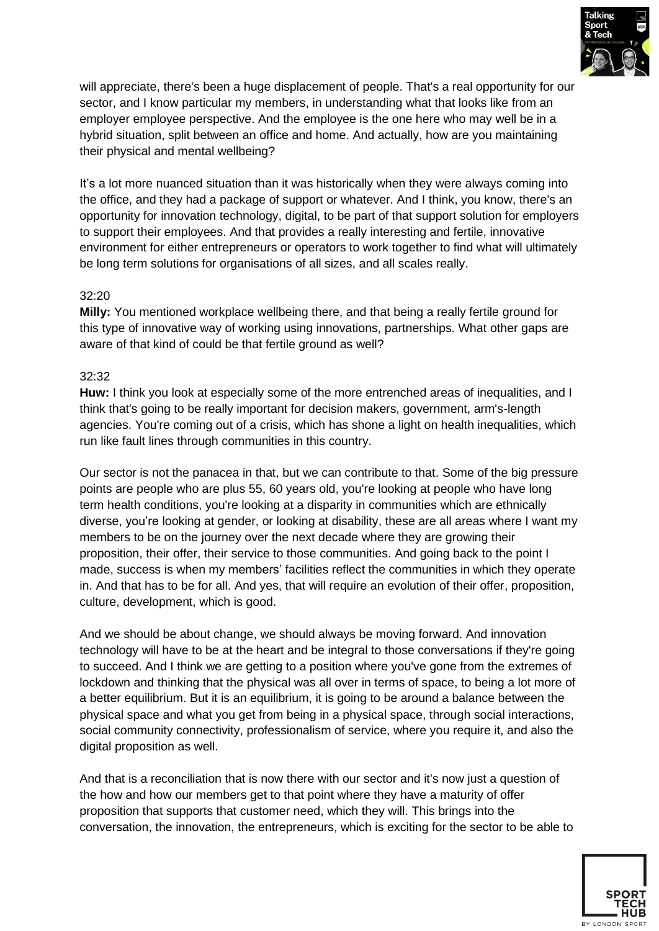

will appreciate, there's been a huge displacement of people. That's a real opportunity for our sector, and I know particular my members, in understanding what that looks like from an employer employee perspective. And the employee is the one here who may well be in a hybrid situation, split between an office and home. And actually, how are you maintaining their physical and mental wellbeing?

It's a lot more nuanced situation than it was historically when they were always coming into the office, and they had a package of support or whatever. And I think, you know, there's an opportunity for innovation technology, digital, to be part of that support solution for employers to support their employees. And that provides a really interesting and fertile, innovative environment for either entrepreneurs or operators to work together to find what will ultimately be long term solutions for organisations of all sizes, and all scales really.

#### 32:20

**Milly:** You mentioned workplace wellbeing there, and that being a really fertile ground for this type of innovative way of working using innovations, partnerships. What other gaps are aware of that kind of could be that fertile ground as well?

#### 32:32

**Huw:** I think you look at especially some of the more entrenched areas of inequalities, and I think that's going to be really important for decision makers, government, arm's-length agencies. You're coming out of a crisis, which has shone a light on health inequalities, which run like fault lines through communities in this country.

Our sector is not the panacea in that, but we can contribute to that. Some of the big pressure points are people who are plus 55, 60 years old, you're looking at people who have long term health conditions, you're looking at a disparity in communities which are ethnically diverse, you're looking at gender, or looking at disability, these are all areas where I want my members to be on the journey over the next decade where they are growing their proposition, their offer, their service to those communities. And going back to the point I made, success is when my members' facilities reflect the communities in which they operate in. And that has to be for all. And yes, that will require an evolution of their offer, proposition, culture, development, which is good.

And we should be about change, we should always be moving forward. And innovation technology will have to be at the heart and be integral to those conversations if they're going to succeed. And I think we are getting to a position where you've gone from the extremes of lockdown and thinking that the physical was all over in terms of space, to being a lot more of a better equilibrium. But it is an equilibrium, it is going to be around a balance between the physical space and what you get from being in a physical space, through social interactions, social community connectivity, professionalism of service, where you require it, and also the digital proposition as well.

And that is a reconciliation that is now there with our sector and it's now just a question of the how and how our members get to that point where they have a maturity of offer proposition that supports that customer need, which they will. This brings into the conversation, the innovation, the entrepreneurs, which is exciting for the sector to be able to

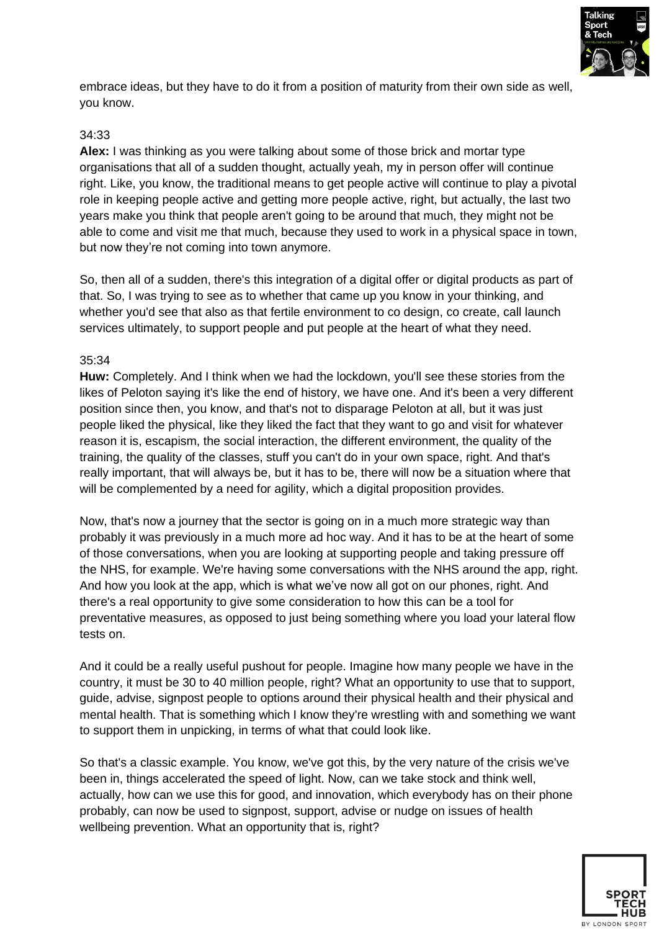

embrace ideas, but they have to do it from a position of maturity from their own side as well, you know.

#### 34:33

**Alex:** I was thinking as you were talking about some of those brick and mortar type organisations that all of a sudden thought, actually yeah, my in person offer will continue right. Like, you know, the traditional means to get people active will continue to play a pivotal role in keeping people active and getting more people active, right, but actually, the last two years make you think that people aren't going to be around that much, they might not be able to come and visit me that much, because they used to work in a physical space in town, but now they're not coming into town anymore.

So, then all of a sudden, there's this integration of a digital offer or digital products as part of that. So, I was trying to see as to whether that came up you know in your thinking, and whether you'd see that also as that fertile environment to co design, co create, call launch services ultimately, to support people and put people at the heart of what they need.

#### 35:34

**Huw:** Completely. And I think when we had the lockdown, you'll see these stories from the likes of Peloton saying it's like the end of history, we have one. And it's been a very different position since then, you know, and that's not to disparage Peloton at all, but it was just people liked the physical, like they liked the fact that they want to go and visit for whatever reason it is, escapism, the social interaction, the different environment, the quality of the training, the quality of the classes, stuff you can't do in your own space, right. And that's really important, that will always be, but it has to be, there will now be a situation where that will be complemented by a need for agility, which a digital proposition provides.

Now, that's now a journey that the sector is going on in a much more strategic way than probably it was previously in a much more ad hoc way. And it has to be at the heart of some of those conversations, when you are looking at supporting people and taking pressure off the NHS, for example. We're having some conversations with the NHS around the app, right. And how you look at the app, which is what we've now all got on our phones, right. And there's a real opportunity to give some consideration to how this can be a tool for preventative measures, as opposed to just being something where you load your lateral flow tests on.

And it could be a really useful pushout for people. Imagine how many people we have in the country, it must be 30 to 40 million people, right? What an opportunity to use that to support, guide, advise, signpost people to options around their physical health and their physical and mental health. That is something which I know they're wrestling with and something we want to support them in unpicking, in terms of what that could look like.

So that's a classic example. You know, we've got this, by the very nature of the crisis we've been in, things accelerated the speed of light. Now, can we take stock and think well, actually, how can we use this for good, and innovation, which everybody has on their phone probably, can now be used to signpost, support, advise or nudge on issues of health wellbeing prevention. What an opportunity that is, right?

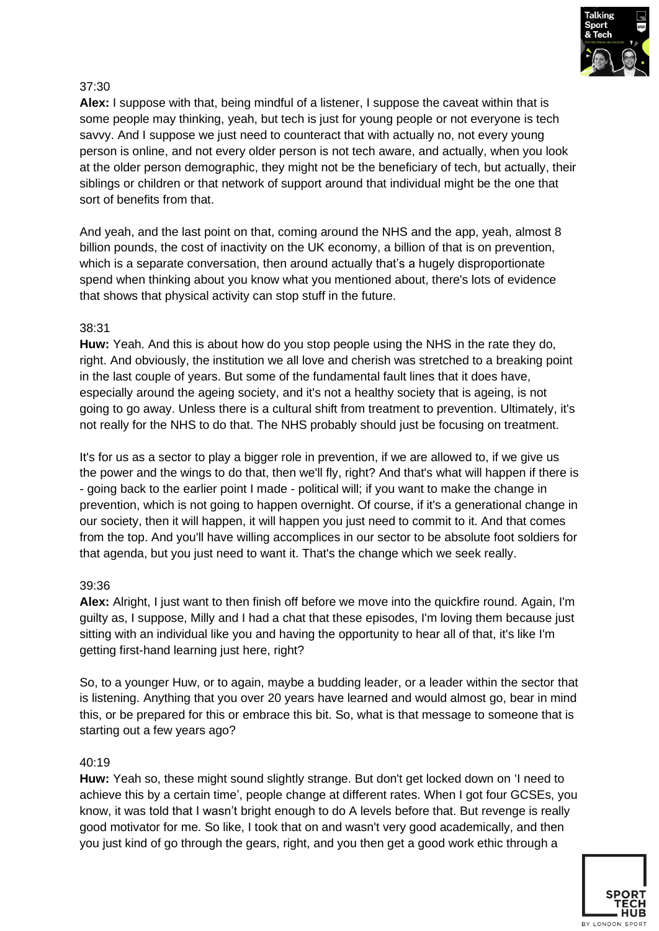

Alex: I suppose with that, being mindful of a listener, I suppose the caveat within that is some people may thinking, yeah, but tech is just for young people or not everyone is tech savvy. And I suppose we just need to counteract that with actually no, not every young person is online, and not every older person is not tech aware, and actually, when you look at the older person demographic, they might not be the beneficiary of tech, but actually, their siblings or children or that network of support around that individual might be the one that sort of benefits from that.

And yeah, and the last point on that, coming around the NHS and the app, yeah, almost 8 billion pounds, the cost of inactivity on the UK economy, a billion of that is on prevention, which is a separate conversation, then around actually that's a hugely disproportionate spend when thinking about you know what you mentioned about, there's lots of evidence that shows that physical activity can stop stuff in the future.

## 38:31

**Huw:** Yeah. And this is about how do you stop people using the NHS in the rate they do, right. And obviously, the institution we all love and cherish was stretched to a breaking point in the last couple of years. But some of the fundamental fault lines that it does have, especially around the ageing society, and it's not a healthy society that is ageing, is not going to go away. Unless there is a cultural shift from treatment to prevention. Ultimately, it's not really for the NHS to do that. The NHS probably should just be focusing on treatment.

It's for us as a sector to play a bigger role in prevention, if we are allowed to, if we give us the power and the wings to do that, then we'll fly, right? And that's what will happen if there is - going back to the earlier point I made - political will; if you want to make the change in prevention, which is not going to happen overnight. Of course, if it's a generational change in our society, then it will happen, it will happen you just need to commit to it. And that comes from the top. And you'll have willing accomplices in our sector to be absolute foot soldiers for that agenda, but you just need to want it. That's the change which we seek really.

## 39:36

**Alex:** Alright, I just want to then finish off before we move into the quickfire round. Again, I'm guilty as, I suppose, Milly and I had a chat that these episodes, I'm loving them because just sitting with an individual like you and having the opportunity to hear all of that, it's like I'm getting first-hand learning just here, right?

So, to a younger Huw, or to again, maybe a budding leader, or a leader within the sector that is listening. Anything that you over 20 years have learned and would almost go, bear in mind this, or be prepared for this or embrace this bit. So, what is that message to someone that is starting out a few years ago?

## 40:19

**Huw:** Yeah so, these might sound slightly strange. But don't get locked down on 'I need to achieve this by a certain time', people change at different rates. When I got four GCSEs, you know, it was told that I wasn't bright enough to do A levels before that. But revenge is really good motivator for me. So like, I took that on and wasn't very good academically, and then you just kind of go through the gears, right, and you then get a good work ethic through a

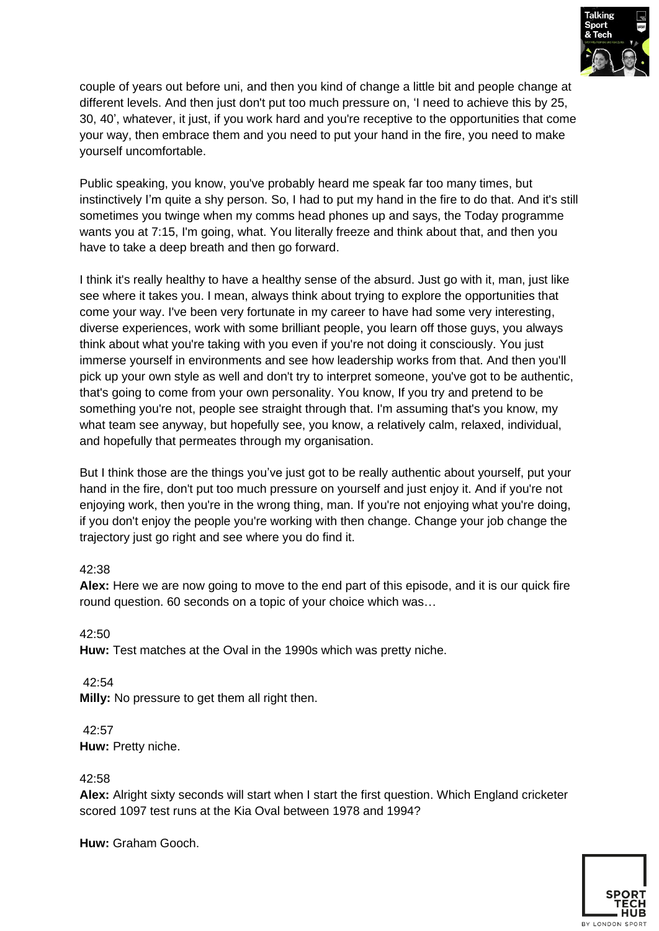

couple of years out before uni, and then you kind of change a little bit and people change at different levels. And then just don't put too much pressure on, 'I need to achieve this by 25, 30, 40', whatever, it just, if you work hard and you're receptive to the opportunities that come your way, then embrace them and you need to put your hand in the fire, you need to make yourself uncomfortable.

Public speaking, you know, you've probably heard me speak far too many times, but instinctively I'm quite a shy person. So, I had to put my hand in the fire to do that. And it's still sometimes you twinge when my comms head phones up and says, the Today programme wants you at 7:15, I'm going, what. You literally freeze and think about that, and then you have to take a deep breath and then go forward.

I think it's really healthy to have a healthy sense of the absurd. Just go with it, man, just like see where it takes you. I mean, always think about trying to explore the opportunities that come your way. I've been very fortunate in my career to have had some very interesting, diverse experiences, work with some brilliant people, you learn off those guys, you always think about what you're taking with you even if you're not doing it consciously. You just immerse yourself in environments and see how leadership works from that. And then you'll pick up your own style as well and don't try to interpret someone, you've got to be authentic, that's going to come from your own personality. You know, If you try and pretend to be something you're not, people see straight through that. I'm assuming that's you know, my what team see anyway, but hopefully see, you know, a relatively calm, relaxed, individual, and hopefully that permeates through my organisation.

But I think those are the things you've just got to be really authentic about yourself, put your hand in the fire, don't put too much pressure on yourself and just enjoy it. And if you're not enjoying work, then you're in the wrong thing, man. If you're not enjoying what you're doing, if you don't enjoy the people you're working with then change. Change your job change the trajectory just go right and see where you do find it.

## 42:38

**Alex:** Here we are now going to move to the end part of this episode, and it is our quick fire round question. 60 seconds on a topic of your choice which was…

42:50 **Huw:** Test matches at the Oval in the 1990s which was pretty niche.

42:54 **Milly:** No pressure to get them all right then.

42:57 **Huw:** Pretty niche.

42:58

**Alex:** Alright sixty seconds will start when I start the first question. Which England cricketer scored 1097 test runs at the Kia Oval between 1978 and 1994?

**Huw:** Graham Gooch.

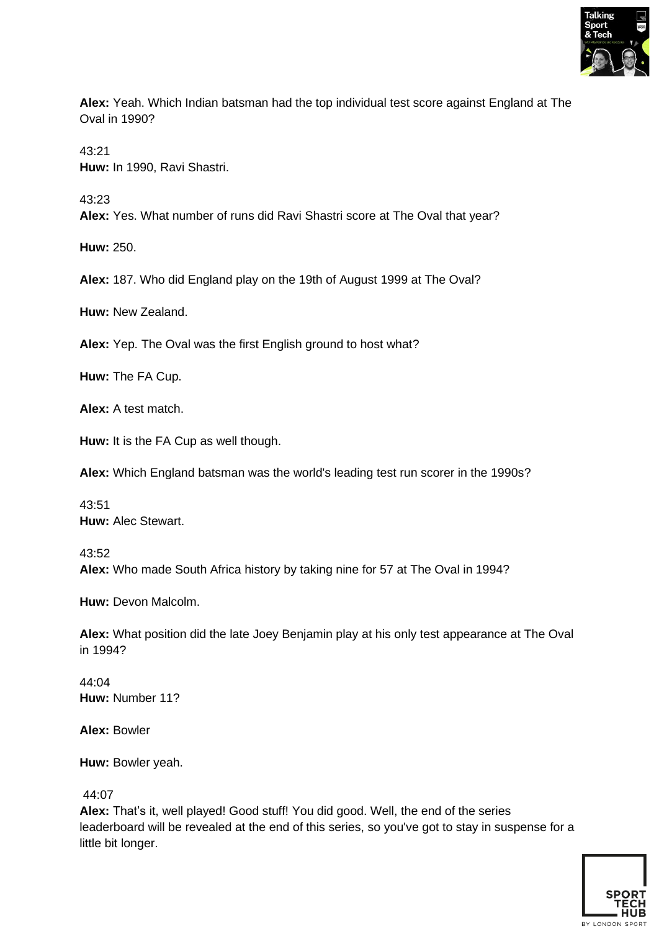

**Alex:** Yeah. Which Indian batsman had the top individual test score against England at The Oval in 1990?

43:21 **Huw:** In 1990, Ravi Shastri.

43:23

**Alex:** Yes. What number of runs did Ravi Shastri score at The Oval that year?

**Huw:** 250.

**Alex:** 187. Who did England play on the 19th of August 1999 at The Oval?

**Huw:** New Zealand.

**Alex:** Yep. The Oval was the first English ground to host what?

**Huw:** The FA Cup.

**Alex:** A test match.

**Huw:** It is the FA Cup as well though.

**Alex:** Which England batsman was the world's leading test run scorer in the 1990s?

43:51 **Huw:** Alec Stewart.

43:52 **Alex:** Who made South Africa history by taking nine for 57 at The Oval in 1994?

**Huw:** Devon Malcolm.

**Alex:** What position did the late Joey Benjamin play at his only test appearance at The Oval in 1994?

44:04 **Huw:** Number 11?

**Alex:** Bowler

**Huw:** Bowler yeah.

44:07

**Alex:** That's it, well played! Good stuff! You did good. Well, the end of the series leaderboard will be revealed at the end of this series, so you've got to stay in suspense for a little bit longer.

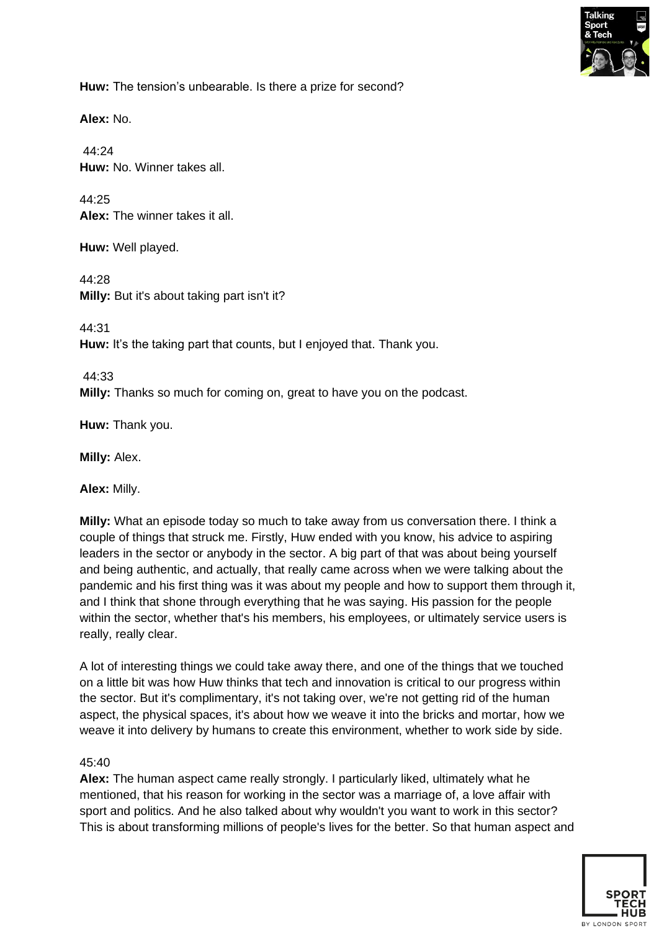

**Huw:** The tension's unbearable. Is there a prize for second?

**Alex:** No.

44:24 **Huw:** No. Winner takes all.

44:25 **Alex:** The winner takes it all.

**Huw:** Well played.

44:28 **Milly:** But it's about taking part isn't it?

44:31

**Huw:** It's the taking part that counts, but I enjoyed that. Thank you.

44:33 **Milly:** Thanks so much for coming on, great to have you on the podcast.

**Huw:** Thank you.

**Milly:** Alex.

**Alex:** Milly.

**Milly:** What an episode today so much to take away from us conversation there. I think a couple of things that struck me. Firstly, Huw ended with you know, his advice to aspiring leaders in the sector or anybody in the sector. A big part of that was about being yourself and being authentic, and actually, that really came across when we were talking about the pandemic and his first thing was it was about my people and how to support them through it, and I think that shone through everything that he was saying. His passion for the people within the sector, whether that's his members, his employees, or ultimately service users is really, really clear.

A lot of interesting things we could take away there, and one of the things that we touched on a little bit was how Huw thinks that tech and innovation is critical to our progress within the sector. But it's complimentary, it's not taking over, we're not getting rid of the human aspect, the physical spaces, it's about how we weave it into the bricks and mortar, how we weave it into delivery by humans to create this environment, whether to work side by side.

#### 45:40

**Alex:** The human aspect came really strongly. I particularly liked, ultimately what he mentioned, that his reason for working in the sector was a marriage of, a love affair with sport and politics. And he also talked about why wouldn't you want to work in this sector? This is about transforming millions of people's lives for the better. So that human aspect and

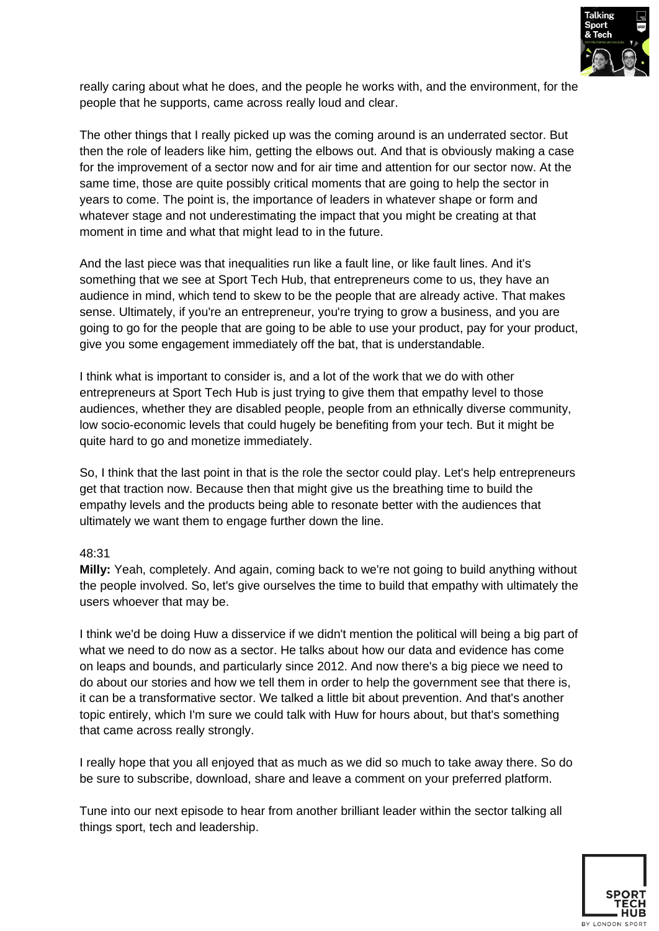

really caring about what he does, and the people he works with, and the environment, for the people that he supports, came across really loud and clear.

The other things that I really picked up was the coming around is an underrated sector. But then the role of leaders like him, getting the elbows out. And that is obviously making a case for the improvement of a sector now and for air time and attention for our sector now. At the same time, those are quite possibly critical moments that are going to help the sector in years to come. The point is, the importance of leaders in whatever shape or form and whatever stage and not underestimating the impact that you might be creating at that moment in time and what that might lead to in the future.

And the last piece was that inequalities run like a fault line, or like fault lines. And it's something that we see at Sport Tech Hub, that entrepreneurs come to us, they have an audience in mind, which tend to skew to be the people that are already active. That makes sense. Ultimately, if you're an entrepreneur, you're trying to grow a business, and you are going to go for the people that are going to be able to use your product, pay for your product, give you some engagement immediately off the bat, that is understandable.

I think what is important to consider is, and a lot of the work that we do with other entrepreneurs at Sport Tech Hub is just trying to give them that empathy level to those audiences, whether they are disabled people, people from an ethnically diverse community, low socio-economic levels that could hugely be benefiting from your tech. But it might be quite hard to go and monetize immediately.

So, I think that the last point in that is the role the sector could play. Let's help entrepreneurs get that traction now. Because then that might give us the breathing time to build the empathy levels and the products being able to resonate better with the audiences that ultimately we want them to engage further down the line.

## 48:31

**Milly:** Yeah, completely. And again, coming back to we're not going to build anything without the people involved. So, let's give ourselves the time to build that empathy with ultimately the users whoever that may be.

I think we'd be doing Huw a disservice if we didn't mention the political will being a big part of what we need to do now as a sector. He talks about how our data and evidence has come on leaps and bounds, and particularly since 2012. And now there's a big piece we need to do about our stories and how we tell them in order to help the government see that there is, it can be a transformative sector. We talked a little bit about prevention. And that's another topic entirely, which I'm sure we could talk with Huw for hours about, but that's something that came across really strongly.

I really hope that you all enjoyed that as much as we did so much to take away there. So do be sure to subscribe, download, share and leave a comment on your preferred platform.

Tune into our next episode to hear from another brilliant leader within the sector talking all things sport, tech and leadership.